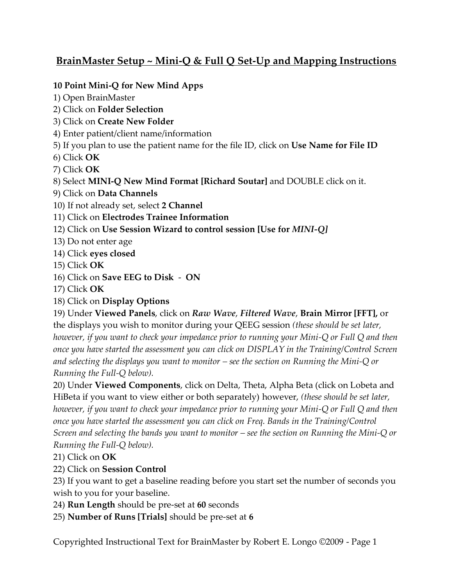# **BrainMaster Setup ~ Mini-Q & Full Q Set-Up and Mapping Instructions**

#### **10 Point Mini-Q for New Mind Apps**

- 1) Open BrainMaster
- 2) Click on **Folder Selection**
- 3) Click on **Create New Folder**
- 4) Enter patient/client name/information
- 5) If you plan to use the patient name for the file ID, click on **Use Name for File ID**
- 6) Click **OK**
- 7) Click **OK**
- 8) Select **MINI-Q New Mind Format [Richard Soutar]** and DOUBLE click on it.
- 9) Click on **Data Channels**
- 10) If not already set, select **2 Channel**
- 11) Click on **Electrodes Trainee Information**
- 12) Click on **Use Session Wizard to control session [Use for** *MINI-Q]*
- 13) Do not enter age
- 14) Click **eyes closed**
- 15) Click **OK**
- 16) Click on **Save EEG to Disk ON**
- 17) Click **OK**
- 18) Click on **Display Options**

19) Under **Viewed Panels**, click on *Raw Wave*, *Filtered Wave*, **Brain Mirror [FFT],** or the displays you wish to monitor during your QEEG session *(these should be set later, however, if you want to check your impedance prior to running your Mini-Q or Full Q and then once you have started the assessment you can click on DISPLAY in the Training/Control Screen and selecting the displays you want to monitor – see the section on Running the Mini-Q or Running the Full-Q below).*

20) Under **Viewed Components**, click on Delta, Theta, Alpha Beta (click on Lobeta and HiBeta if you want to view either or both separately) however, *(these should be set later, however, if you want to check your impedance prior to running your Mini-Q or Full Q and then once you have started the assessment you can click on Freq. Bands in the Training/Control Screen and selecting the bands you want to monitor – see the section on Running the Mini-Q or Running the Full-Q below).*

21) Click on **OK**

### 22) Click on **Session Control**

23) If you want to get a baseline reading before you start set the number of seconds you wish to you for your baseline.

- 24) **Run Length** should be pre-set at **60** seconds
- 25) **Number of Runs [Trials]** should be pre-set at **6**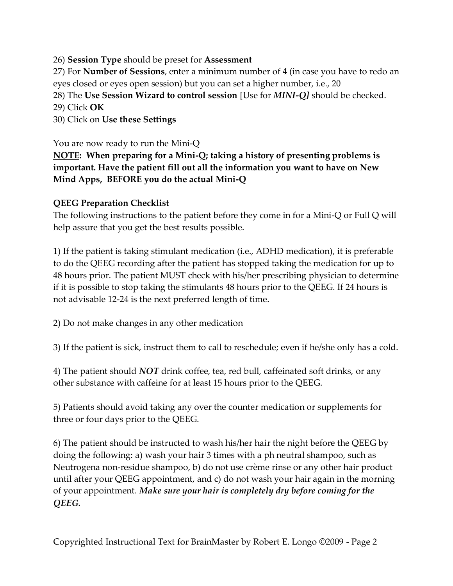### 26) **Session Type** should be preset for **Assessment**

27) For **Number of Sessions**, enter a minimum number of **4** (in case you have to redo an eyes closed or eyes open session) but you can set a higher number, i.e., 20

28) The **Use Session Wizard to control session** [Use for *MINI-Q]* should be checked.

29) Click **OK**

30) Click on **Use these Settings**

You are now ready to run the Mini-Q

**NOTE: When preparing for a Mini-Q; taking a history of presenting problems is important. Have the patient fill out all the information you want to have on New Mind Apps, BEFORE you do the actual Mini-Q**

#### **QEEG Preparation Checklist**

The following instructions to the patient before they come in for a Mini-Q or Full Q will help assure that you get the best results possible.

1) If the patient is taking stimulant medication (i.e., ADHD medication), it is preferable to do the QEEG recording after the patient has stopped taking the medication for up to 48 hours prior. The patient MUST check with his/her prescribing physician to determine if it is possible to stop taking the stimulants 48 hours prior to the QEEG. If 24 hours is not advisable 12-24 is the next preferred length of time.

2) Do not make changes in any other medication

3) If the patient is sick, instruct them to call to reschedule; even if he/she only has a cold.

4) The patient should *NOT* drink coffee, tea, red bull, caffeinated soft drinks, or any other substance with caffeine for at least 15 hours prior to the QEEG.

5) Patients should avoid taking any over the counter medication or supplements for three or four days prior to the QEEG.

6) The patient should be instructed to wash his/her hair the night before the QEEG by doing the following: a) wash your hair 3 times with a ph neutral shampoo, such as Neutrogena non-residue shampoo, b) do not use crème rinse or any other hair product until after your QEEG appointment, and c) do not wash your hair again in the morning of your appointment. *Make sure your hair is completely dry before coming for the QEEG.*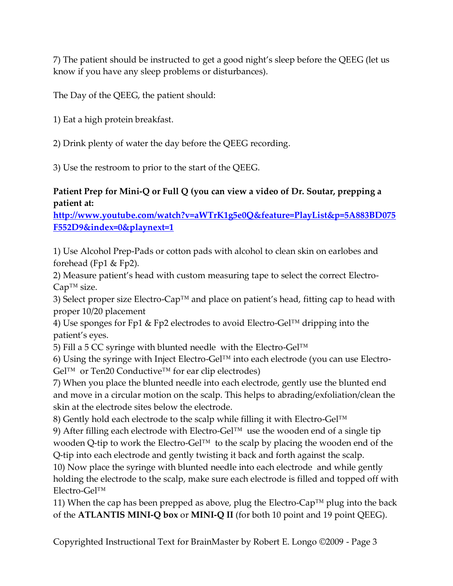7) The patient should be instructed to get a good night's sleep before the QEEG (let us know if you have any sleep problems or disturbances).

The Day of the QEEG, the patient should:

1) Eat a high protein breakfast.

2) Drink plenty of water the day before the QEEG recording.

3) Use the restroom to prior to the start of the QEEG.

## **Patient Prep for Mini-Q or Full Q (you can view a video of Dr. Soutar, prepping a patient at:**

**[http://www.youtube.com/watch?v=aWTrK1g5e0Q&feature=PlayList&p=5A883BD075](http://www.youtube.com/watch?v=aWTrK1g5e0Q&feature=PlayList&p=5A883BD075F552D9&index=0&playnext=1) [F552D9&index=0&playnext=1](http://www.youtube.com/watch?v=aWTrK1g5e0Q&feature=PlayList&p=5A883BD075F552D9&index=0&playnext=1)**

1) Use Alcohol Prep-Pads or cotton pads with alcohol to clean skin on earlobes and forehead (Fp1 & Fp2).

2) Measure patient's head with custom measuring tape to select the correct Electro-Cap™ size.

3) Select proper size Electro-Cap™ and place on patient's head, fitting cap to head with proper 10/20 placement

4) Use sponges for Fp1 & Fp2 electrodes to avoid Electro-Gel™ dripping into the patient's eyes.

5) Fill a 5 CC syringe with blunted needle with the Electro-Gel™

6) Using the syringe with Inject Electro-Gel™ into each electrode (you can use Electro- $Gel^{TM}$  or Ten20 Conductive<sup>TM</sup> for ear clip electrodes)

7) When you place the blunted needle into each electrode, gently use the blunted end and move in a circular motion on the scalp. This helps to abrading/exfoliation/clean the skin at the electrode sites below the electrode.

8) Gently hold each electrode to the scalp while filling it with Electro-Gel<sup>™</sup>

9) After filling each electrode with Electro-Gel™ use the wooden end of a single tip wooden Q-tip to work the Electro-Gel™ to the scalp by placing the wooden end of the Q-tip into each electrode and gently twisting it back and forth against the scalp.

10) Now place the syringe with blunted needle into each electrode and while gently holding the electrode to the scalp, make sure each electrode is filled and topped off with Electro-Gel™

11) When the cap has been prepped as above, plug the Electro-Cap<sup>TM</sup> plug into the back of the **ATLANTIS MINI-Q box** or **MINI-Q II** (for both 10 point and 19 point QEEG).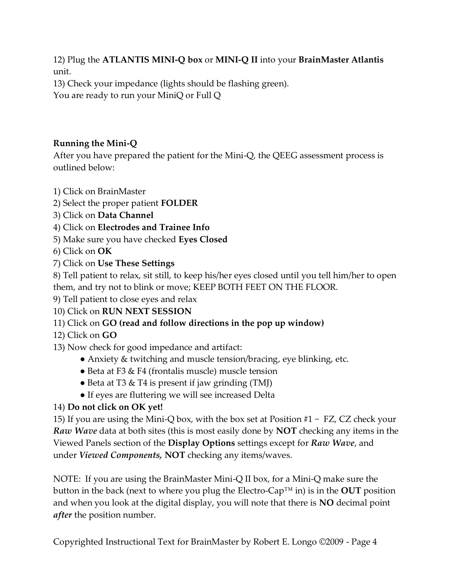12) Plug the **ATLANTIS MINI-Q box** or **MINI-Q II** into your **BrainMaster Atlantis**  unit.

13) Check your impedance (lights should be flashing green). You are ready to run your MiniQ or Full Q

## **Running the Mini-Q**

After you have prepared the patient for the Mini-Q, the QEEG assessment process is outlined below:

- 1) Click on BrainMaster
- 2) Select the proper patient **FOLDER**
- 3) Click on **Data Channel**
- 4) Click on **Electrodes and Trainee Info**
- 5) Make sure you have checked **Eyes Closed**
- 6) Click on **OK**
- 7) Click on **Use These Settings**

8) Tell patient to relax, sit still, to keep his/her eyes closed until you tell him/her to open them, and try not to blink or move; KEEP BOTH FEET ON THE FLOOR.

- 9) Tell patient to close eyes and relax
- 10) Click on **RUN NEXT SESSION**
- 11) Click on **GO (read and follow directions in the pop up window)**
- 12) Click on **GO**
- 13) Now check for good impedance and artifact:
	- Anxiety & twitching and muscle tension/bracing, eye blinking, etc.
	- Beta at F3  $&$  F4 (frontalis muscle) muscle tension
	- Beta at T3 & T4 is present if jaw grinding (TMJ)
	- If eyes are fluttering we will see increased Delta

### 14) **Do not click on OK yet!**

15) If you are using the Mini-Q box, with the box set at Position  $#1 \sim FZ$ , CZ check your *Raw Wave* data at both sites (this is most easily done by **NOT** checking any items in the Viewed Panels section of the **Display Options** settings except for *Raw Wave*, and under *Viewed Components,* **NOT** checking any items/waves.

NOTE: If you are using the BrainMaster Mini-Q II box, for a Mini-Q make sure the button in the back (next to where you plug the Electro-Cap™ in) is in the **OUT** position and when you look at the digital display, you will note that there is **NO** decimal point *after* the position number.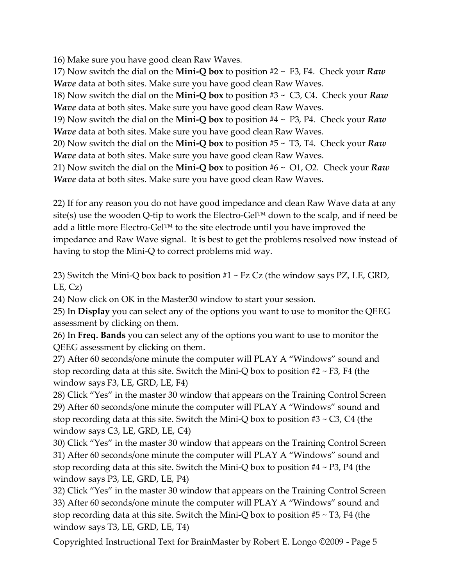16) Make sure you have good clean Raw Waves.

17) Now switch the dial on the **Mini-Q box** to position #2 ~ F3, F4. Check your *Raw Wave* data at both sites. Make sure you have good clean Raw Waves.

18) Now switch the dial on the **Mini-Q box** to position #3 ~ C3, C4. Check your *Raw Wave* data at both sites. Make sure you have good clean Raw Waves.

19) Now switch the dial on the **Mini-Q box** to position #4 ~ P3, P4. Check your *Raw Wave* data at both sites. Make sure you have good clean Raw Waves.

20) Now switch the dial on the **Mini-Q box** to position #5 ~ T3, T4. Check your *Raw Wave* data at both sites. Make sure you have good clean Raw Waves.

21) Now switch the dial on the **Mini-Q box** to position #6 ~ O1, O2. Check your *Raw Wave* data at both sites. Make sure you have good clean Raw Waves.

22) If for any reason you do not have good impedance and clean Raw Wave data at any site(s) use the wooden Q-tip to work the Electro-Gel<sup>TM</sup> down to the scalp, and if need be add a little more Electro-Gel™ to the site electrode until you have improved the impedance and Raw Wave signal. It is best to get the problems resolved now instead of having to stop the Mini-Q to correct problems mid way.

23) Switch the Mini-Q box back to position  $#1 \sim Fz$  Cz (the window says PZ, LE, GRD,  $LE, Cz)$ 

24) Now click on OK in the Master30 window to start your session.

25) In **Display** you can select any of the options you want to use to monitor the QEEG assessment by clicking on them.

26) In **Freq. Bands** you can select any of the options you want to use to monitor the QEEG assessment by clicking on them.

27) After 60 seconds/one minute the computer will PLAY A "Windows" sound and stop recording data at this site. Switch the Mini-Q box to position  $#2 \sim F3$ , F4 (the window says F3, LE, GRD, LE, F4)

28) Click "Yes" in the master 30 window that appears on the Training Control Screen 29) After 60 seconds/one minute the computer will PLAY A "Windows" sound and stop recording data at this site. Switch the Mini-Q box to position  $#3 \sim C_3$ , C4 (the window says C3, LE, GRD, LE, C4)

30) Click "Yes" in the master 30 window that appears on the Training Control Screen 31) After 60 seconds/one minute the computer will PLAY A "Windows" sound and stop recording data at this site. Switch the Mini-Q box to position  $#4 \sim P3$ , P4 (the window says P3, LE, GRD, LE, P4)

32) Click "Yes" in the master 30 window that appears on the Training Control Screen 33) After 60 seconds/one minute the computer will PLAY A "Windows" sound and stop recording data at this site. Switch the Mini-Q box to position  $#5 \sim T3$ , F4 (the window says T3, LE, GRD, LE, T4)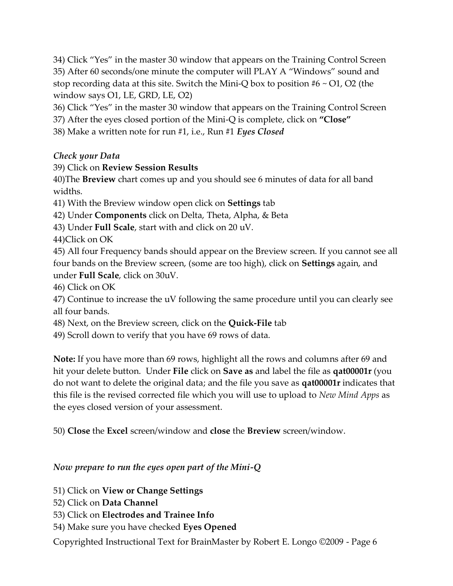34) Click "Yes" in the master 30 window that appears on the Training Control Screen 35) After 60 seconds/one minute the computer will PLAY A "Windows" sound and stop recording data at this site. Switch the Mini-Q box to position  $#6 \sim O1$ , O2 (the window says O1, LE, GRD, LE, O2)

36) Click "Yes" in the master 30 window that appears on the Training Control Screen

37) After the eyes closed portion of the Mini-Q is complete, click on **"Close"**

38) Make a written note for run #1, i.e., Run #1 *Eyes Closed*

## *Check your Data*

## 39) Click on **Review Session Results**

40)The **Breview** chart comes up and you should see 6 minutes of data for all band widths.

41) With the Breview window open click on **Settings** tab

42) Under **Components** click on Delta, Theta, Alpha, & Beta

43) Under **Full Scale**, start with and click on 20 uV.

44)Click on OK

45) All four Frequency bands should appear on the Breview screen. If you cannot see all four bands on the Breview screen, (some are too high), click on **Settings** again, and under **Full Scale**, click on 30uV.

46) Click on OK

47) Continue to increase the uV following the same procedure until you can clearly see all four bands.

48) Next, on the Breview screen, click on the **Quick-File** tab

49) Scroll down to verify that you have 69 rows of data.

**Note:** If you have more than 69 rows, highlight all the rows and columns after 69 and hit your delete button. Under **File** click on **Save as** and label the file as **qat00001r** (you do not want to delete the original data; and the file you save as **qat00001r** indicates that this file is the revised corrected file which you will use to upload to *New Mind Apps* as the eyes closed version of your assessment.

50) **Close** the **Excel** screen/window and **close** the **Breview** screen/window.

## *Now prepare to run the eyes open part of the Mini-Q*

51) Click on **View or Change Settings**

- 52) Click on **Data Channel**
- 53) Click on **Electrodes and Trainee Info**
- 54) Make sure you have checked **Eyes Opened**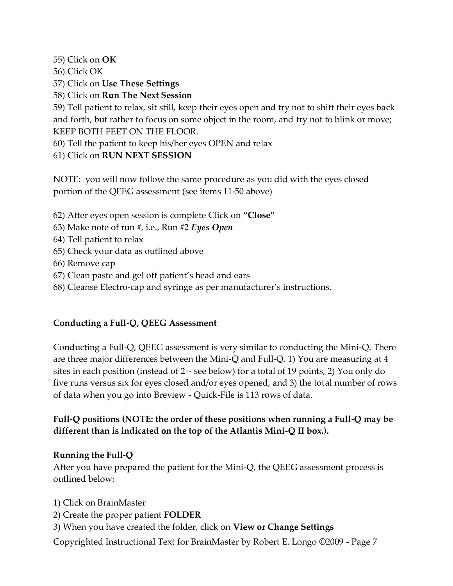55) Click on **OK**

56) Click OK

57) Click on **Use These Settings**

58) Click on **Run The Next Session**

59) Tell patient to relax, sit still, keep their eyes open and try not to shift their eyes back and forth, but rather to focus on some object in the room, and try not to blink or move; KEEP BOTH FEET ON THE FLOOR.

60) Tell the patient to keep his/her eyes OPEN and relax

61) Click on **RUN NEXT SESSION**

NOTE: you will now follow the same procedure as you did with the eyes closed portion of the QEEG assessment (see items 11-50 above)

62) After eyes open session is complete Click on **"Close"**

63) Make note of run #, i.e., Run #2 *Eyes Open*

64) Tell patient to relax

- 65) Check your data as outlined above
- 66) Remove cap
- 67) Clean paste and gel off patient's head and ears
- 68) Cleanse Electro-cap and syringe as per manufacturer's instructions.

### **Conducting a Full-Q, QEEG Assessment**

Conducting a Full-Q, QEEG assessment is very similar to conducting the Mini-Q. There are three major differences between the Mini-Q and Full-Q. 1) You are measuring at 4 sites in each position (instead of  $2 \sim$  see below) for a total of 19 points, 2) You only do five runs versus six for eyes closed and/or eyes opened, and 3) the total number of rows of data when you go into Breview - Quick-File is 113 rows of data.

## **Full-Q positions (NOTE: the order of these positions when running a Full-Q may be different than is indicated on the top of the Atlantis Mini-Q II box.).**

### **Running the Full-Q**

After you have prepared the patient for the Mini-Q, the QEEG assessment process is outlined below:

1) Click on BrainMaster

- 2) Create the proper patient **FOLDER**
- 3) When you have created the folder, click on **View or Change Settings**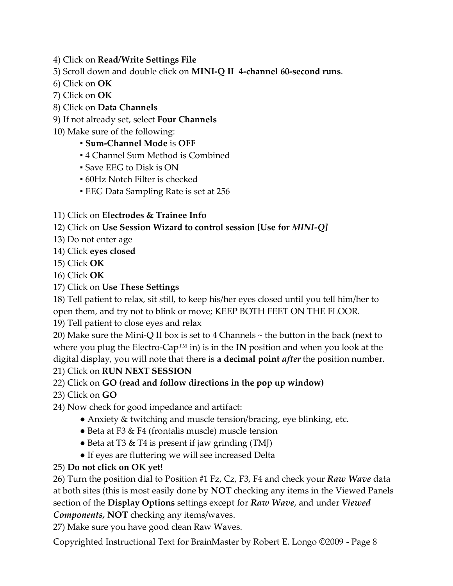4) Click on **Read/Write Settings File**

- 5) Scroll down and double click on **MINI-Q II 4-channel 60-second runs**.
- 6) Click on **OK**
- 7) Click on **OK**
- 8) Click on **Data Channels**
- 9) If not already set, select **Four Channels**
- 10) Make sure of the following:

### ▪ **Sum-Channel Mode** is **OFF**

- 4 Channel Sum Method is Combined
- Save EEG to Disk is ON
- 60Hz Notch Filter is checked
- **EEG Data Sampling Rate is set at 256**
- 11) Click on **Electrodes & Trainee Info**

## 12) Click on **Use Session Wizard to control session [Use for** *MINI-Q]*

- 13) Do not enter age
- 14) Click **eyes closed**
- 15) Click **OK**
- 16) Click **OK**
- 17) Click on **Use These Settings**

18) Tell patient to relax, sit still, to keep his/her eyes closed until you tell him/her to open them, and try not to blink or move; KEEP BOTH FEET ON THE FLOOR.

19) Tell patient to close eyes and relax

20) Make sure the Mini-Q II box is set to 4 Channels ~ the button in the back (next to where you plug the Electro-Cap™ in) is in the **IN** position and when you look at the digital display, you will note that there is **a decimal point** *after* the position number. 21) Click on **RUN NEXT SESSION**

## 22) Click on **GO (read and follow directions in the pop up window)**

23) Click on **GO**

24) Now check for good impedance and artifact:

- Anxiety & twitching and muscle tension/bracing, eye blinking, etc.
- Beta at F3 & F4 (frontalis muscle) muscle tension
- Beta at T3 & T4 is present if jaw grinding (TMJ)
- If eyes are fluttering we will see increased Delta

## 25) **Do not click on OK yet!**

26) Turn the position dial to Position #1 Fz, Cz, F3, F4 and check your *Raw Wave* data at both sites (this is most easily done by **NOT** checking any items in the Viewed Panels section of the **Display Options** settings except for *Raw Wave*, and under *Viewed Components,* **NOT** checking any items/waves.

27) Make sure you have good clean Raw Waves.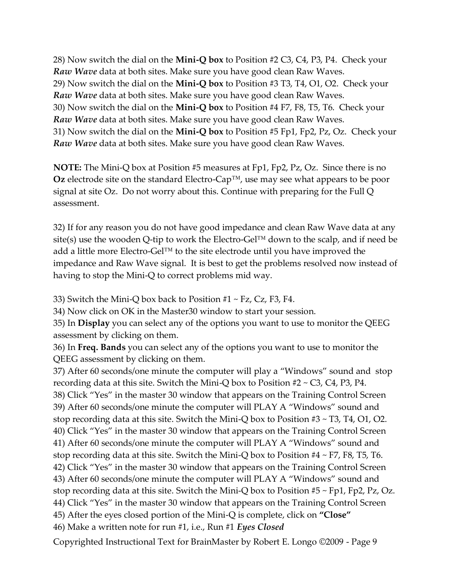28) Now switch the dial on the **Mini-Q box** to Position #2 C3, C4, P3, P4. Check your *Raw Wave* data at both sites. Make sure you have good clean Raw Waves. 29) Now switch the dial on the **Mini-Q box** to Position #3 T3, T4, O1, O2. Check your *Raw Wave* data at both sites. Make sure you have good clean Raw Waves. 30) Now switch the dial on the **Mini-Q box** to Position #4 F7, F8, T5, T6. Check your *Raw Wave* data at both sites. Make sure you have good clean Raw Waves. 31) Now switch the dial on the **Mini-Q box** to Position #5 Fp1, Fp2, Pz, Oz. Check your *Raw Wave* data at both sites. Make sure you have good clean Raw Waves.

**NOTE:** The Mini-Q box at Position #5 measures at Fp1, Fp2, Pz, Oz. Since there is no **Oz** electrode site on the standard Electro-Cap™, use may see what appears to be poor signal at site Oz. Do not worry about this. Continue with preparing for the Full Q assessment.

32) If for any reason you do not have good impedance and clean Raw Wave data at any site(s) use the wooden Q-tip to work the Electro-Gel™ down to the scalp, and if need be add a little more Electro-Gel™ to the site electrode until you have improved the impedance and Raw Wave signal. It is best to get the problems resolved now instead of having to stop the Mini-Q to correct problems mid way.

33) Switch the Mini-Q box back to Position  $#1 \sim Fz$ , Cz, F3, F4.

34) Now click on OK in the Master30 window to start your session.

35) In **Display** you can select any of the options you want to use to monitor the QEEG assessment by clicking on them.

36) In **Freq. Bands** you can select any of the options you want to use to monitor the QEEG assessment by clicking on them.

37) After 60 seconds/one minute the computer will play a "Windows" sound and stop recording data at this site. Switch the Mini-Q box to Position  $#2 \sim C_3$ , C4, P3, P4. 38) Click "Yes" in the master 30 window that appears on the Training Control Screen 39) After 60 seconds/one minute the computer will PLAY A "Windows" sound and stop recording data at this site. Switch the Mini-Q box to Position #3 ~ T3, T4, O1, O2. 40) Click "Yes" in the master 30 window that appears on the Training Control Screen 41) After 60 seconds/one minute the computer will PLAY A "Windows" sound and stop recording data at this site. Switch the Mini-Q box to Position #4 ~ F7, F8, T5, T6. 42) Click "Yes" in the master 30 window that appears on the Training Control Screen 43) After 60 seconds/one minute the computer will PLAY A "Windows" sound and stop recording data at this site. Switch the Mini-Q box to Position  $#5 \sim Fp1$ , Fp2, Pz, Oz. 44) Click "Yes" in the master 30 window that appears on the Training Control Screen 45) After the eyes closed portion of the Mini-Q is complete, click on **"Close"** 46) Make a written note for run #1, i.e., Run #1 *Eyes Closed*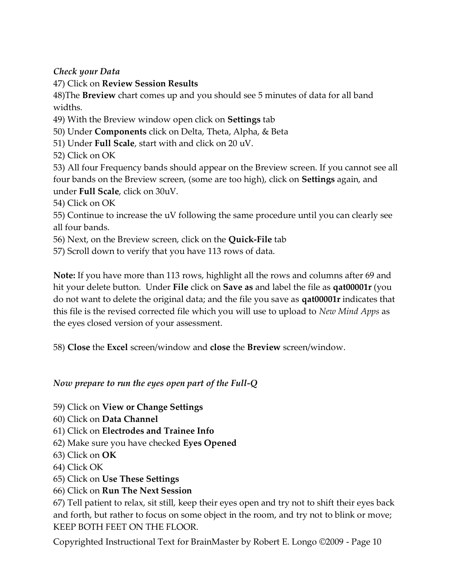*Check your Data*

47) Click on **Review Session Results**

48)The **Breview** chart comes up and you should see 5 minutes of data for all band widths.

- 49) With the Breview window open click on **Settings** tab
- 50) Under **Components** click on Delta, Theta, Alpha, & Beta
- 51) Under **Full Scale**, start with and click on 20 uV.
- 52) Click on OK

53) All four Frequency bands should appear on the Breview screen. If you cannot see all four bands on the Breview screen, (some are too high), click on **Settings** again, and under **Full Scale**, click on 30uV.

54) Click on OK

55) Continue to increase the uV following the same procedure until you can clearly see all four bands.

- 56) Next, on the Breview screen, click on the **Quick-File** tab
- 57) Scroll down to verify that you have 113 rows of data.

**Note:** If you have more than 113 rows, highlight all the rows and columns after 69 and hit your delete button. Under **File** click on **Save as** and label the file as **qat00001r** (you do not want to delete the original data; and the file you save as **qat00001r** indicates that this file is the revised corrected file which you will use to upload to *New Mind Apps* as the eyes closed version of your assessment.

58) **Close** the **Excel** screen/window and **close** the **Breview** screen/window.

## *Now prepare to run the eyes open part of the Full-Q*

- 59) Click on **View or Change Settings**
- 60) Click on **Data Channel**
- 61) Click on **Electrodes and Trainee Info**
- 62) Make sure you have checked **Eyes Opened**
- 63) Click on **OK**
- 64) Click OK
- 65) Click on **Use These Settings**
- 66) Click on **Run The Next Session**

67) Tell patient to relax, sit still, keep their eyes open and try not to shift their eyes back and forth, but rather to focus on some object in the room, and try not to blink or move; KEEP BOTH FEET ON THE FLOOR.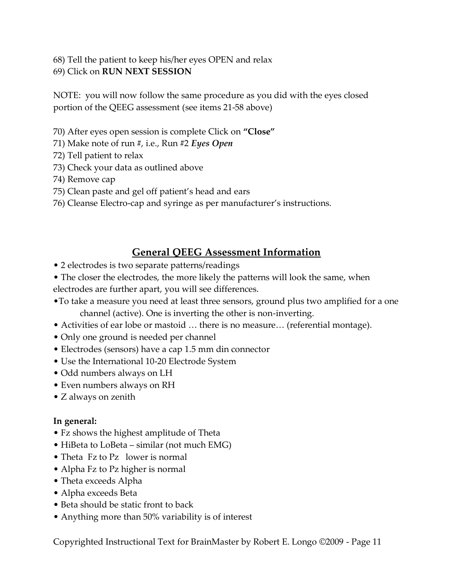68) Tell the patient to keep his/her eyes OPEN and relax 69) Click on **RUN NEXT SESSION**

NOTE: you will now follow the same procedure as you did with the eyes closed portion of the QEEG assessment (see items 21-58 above)

- 70) After eyes open session is complete Click on **"Close"**
- 71) Make note of run #, i.e., Run #2 *Eyes Open*
- 72) Tell patient to relax
- 73) Check your data as outlined above
- 74) Remove cap
- 75) Clean paste and gel off patient's head and ears
- 76) Cleanse Electro-cap and syringe as per manufacturer's instructions.

## **General QEEG Assessment Information**

- 2 electrodes is two separate patterns/readings
- The closer the electrodes, the more likely the patterns will look the same, when electrodes are further apart, you will see differences.
- •To take a measure you need at least three sensors, ground plus two amplified for a one channel (active). One is inverting the other is non-inverting.
- Activities of ear lobe or mastoid … there is no measure… (referential montage).
- Only one ground is needed per channel
- Electrodes (sensors) have a cap 1.5 mm din connector
- Use the International 10-20 Electrode System
- Odd numbers always on LH
- Even numbers always on RH
- Z always on zenith

### **In general:**

- Fz shows the highest amplitude of Theta
- HiBeta to LoBeta similar (not much EMG)
- Theta Fz to Pz lower is normal
- Alpha Fz to Pz higher is normal
- Theta exceeds Alpha
- Alpha exceeds Beta
- Beta should be static front to back
- Anything more than 50% variability is of interest